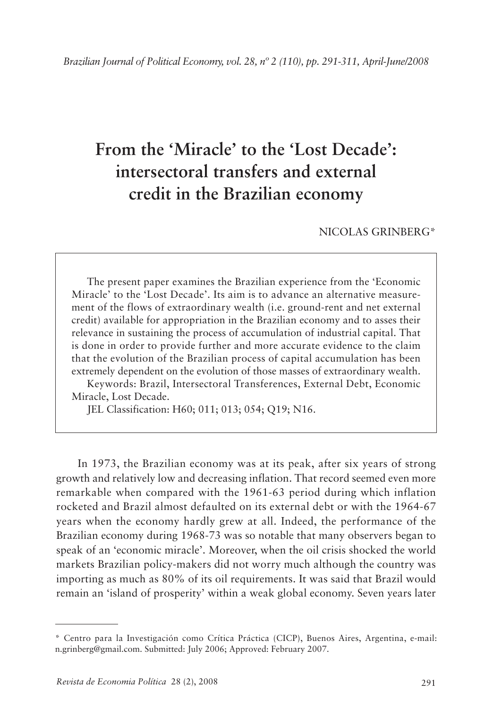# **From the 'Miracle' to the 'Lost Decade': intersectoral transfers and external credit in the Brazilian economy**

NICOLAS GRINBERG\*

The present paper examines the Brazilian experience from the 'Economic Miracle' to the 'Lost Decade'. Its aim is to advance an alternative measurement of the flows of extraordinary wealth (i.e. ground-rent and net external credit) available for appropriation in the Brazilian economy and to asses their relevance in sustaining the process of accumulation of industrial capital. That is done in order to provide further and more accurate evidence to the claim that the evolution of the Brazilian process of capital accumulation has been extremely dependent on the evolution of those masses of extraordinary wealth. Keywords: Brazil, Intersectoral Transferences, External Debt, Economic Miracle, Lost Decade.

JEL Classification: H60; 011; 013; 054; Q19; N16.

In 1973, the Brazilian economy was at its peak, after six years of strong growth and relatively low and decreasing inflation. That record seemed even more remarkable when compared with the 1961-63 period during which inflation rocketed and Brazil almost defaulted on its external debt or with the 1964-67 years when the economy hardly grew at all. Indeed, the performance of the Brazilian economy during 1968-73 was so notable that many observers began to speak of an 'economic miracle'. Moreover, when the oil crisis shocked the world markets Brazilian policy-makers did not worry much although the country was importing as much as 80% of its oil requirements. It was said that Brazil would remain an 'island of prosperity' within a weak global economy. Seven years later

<sup>\*</sup> Centro para la Investigación como Crítica Práctica (CICP), Buenos Aires, Argentina, e-mail: n.grinberg@gmail.com. Submitted: July 2006; Approved: February 2007.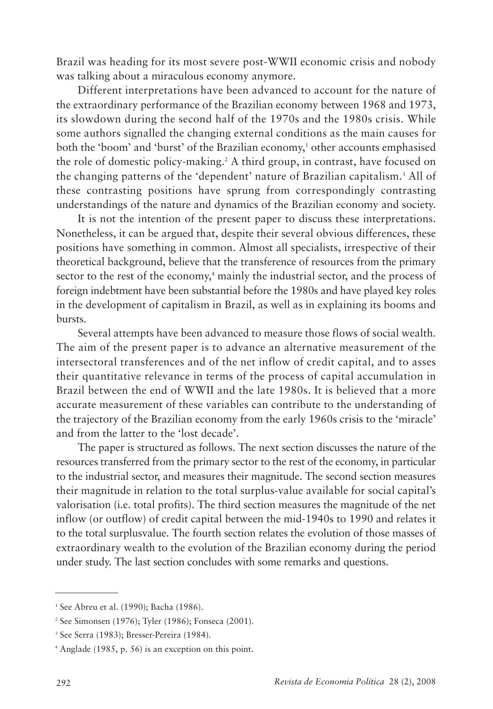Brazil was heading for its most severe post-WWII economic crisis and nobody was talking about a miraculous economy anymore.

Different interpretations have been advanced to account for the nature of the extraordinary performance of the Brazilian economy between 1968 and 1973, its slowdown during the second half of the 1970s and the 1980s crisis. While some authors signalled the changing external conditions as the main causes for both the 'boom' and 'burst' of the Brazilian economy,<sup>1</sup> other accounts emphasised the role of domestic policy-making.2 A third group, in contrast, have focused on the changing patterns of the 'dependent' nature of Brazilian capitalism.3 All of these contrasting positions have sprung from correspondingly contrasting understandings of the nature and dynamics of the Brazilian economy and society.

It is not the intention of the present paper to discuss these interpretations. Nonetheless, it can be argued that, despite their several obvious differences, these positions have something in common. Almost all specialists, irrespective of their theoretical background, believe that the transference of resources from the primary sector to the rest of the economy,<sup>4</sup> mainly the industrial sector, and the process of foreign indebtment have been substantial before the 1980s and have played key roles in the development of capitalism in Brazil, as well as in explaining its booms and bursts.

Several attempts have been advanced to measure those flows of social wealth. The aim of the present paper is to advance an alternative measurement of the intersectoral transferences and of the net inflow of credit capital, and to asses their quantitative relevance in terms of the process of capital accumulation in Brazil between the end of WWII and the late 1980s. It is believed that a more accurate measurement of these variables can contribute to the understanding of the trajectory of the Brazilian economy from the early 1960s crisis to the 'miracle' and from the latter to the 'lost decade'.

The paper is structured as follows. The next section discusses the nature of the resources transferred from the primary sector to the rest of the economy, in particular to the industrial sector, and measures their magnitude. The second section measures their magnitude in relation to the total surplus-value available for social capital's valorisation (i.e. total profits). The third section measures the magnitude of the net inflow (or outflow) of credit capital between the mid-1940s to 1990 and relates it to the total surplusvalue. The fourth section relates the evolution of those masses of extraordinary wealth to the evolution of the Brazilian economy during the period under study. The last section concludes with some remarks and questions.

<sup>&</sup>lt;sup>1</sup> See Abreu et al. (1990); Bacha (1986).

<sup>2</sup> See Simonsen (1976); Tyler (1986); Fonseca (2001).

<sup>3</sup> See Serra (1983); Bresser-Pereira (1984).

<sup>4</sup> Anglade (1985, p. 56) is an exception on this point.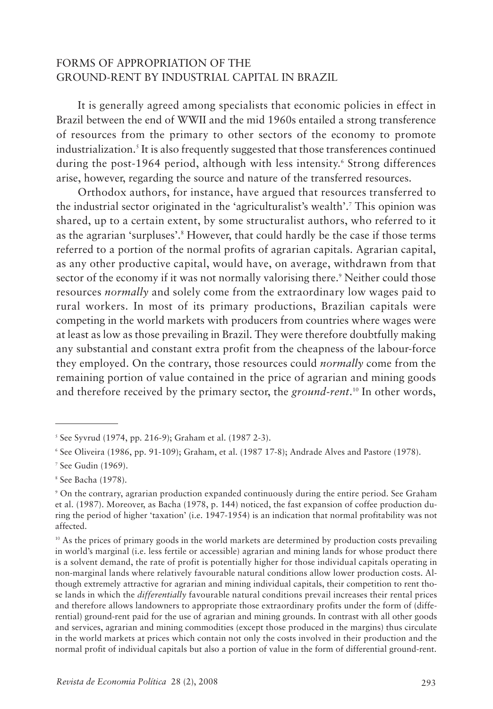# FORMS OF APPROPRIATION OF THE GROUND-RENT BY INDUSTRIAL CAPITAL IN BRAZIL

It is generally agreed among specialists that economic policies in effect in Brazil between the end of WWII and the mid 1960s entailed a strong transference of resources from the primary to other sectors of the economy to promote industrialization.5 It is also frequently suggested that those transferences continued during the post-1964 period, although with less intensity.<sup>6</sup> Strong differences arise, however, regarding the source and nature of the transferred resources.

Orthodox authors, for instance, have argued that resources transferred to the industrial sector originated in the 'agriculturalist's wealth'.7 This opinion was shared, up to a certain extent, by some structuralist authors, who referred to it as the agrarian 'surpluses'.8 However, that could hardly be the case if those terms referred to a portion of the normal profits of agrarian capitals. Agrarian capital, as any other productive capital, would have, on average, withdrawn from that sector of the economy if it was not normally valorising there.<sup>9</sup> Neither could those resources *normally* and solely come from the extraordinary low wages paid to rural workers. In most of its primary productions, Brazilian capitals were competing in the world markets with producers from countries where wages were at least as low as those prevailing in Brazil. They were therefore doubtfully making any substantial and constant extra profit from the cheapness of the labour-force they employed. On the contrary, those resources could *normally* come from the remaining portion of value contained in the price of agrarian and mining goods and therefore received by the primary sector, the *ground-rent*. <sup>10</sup> In other words,

<sup>5</sup> See Syvrud (1974, pp. 216-9); Graham et al. (1987 2-3).

<sup>6</sup> See Oliveira (1986, pp. 91-109); Graham, et al. (1987 17-8); Andrade Alves and Pastore (1978).

<sup>7</sup> See Gudin (1969).

<sup>8</sup> See Bacha (1978).

<sup>9</sup> On the contrary, agrarian production expanded continuously during the entire period. See Graham et al. (1987). Moreover, as Bacha (1978, p. 144) noticed, the fast expansion of coffee production during the period of higher 'taxation' (i.e. 1947-1954) is an indication that normal profitability was not affected.

<sup>&</sup>lt;sup>10</sup> As the prices of primary goods in the world markets are determined by production costs prevailing in world's marginal (i.e. less fertile or accessible) agrarian and mining lands for whose product there is a solvent demand, the rate of profit is potentially higher for those individual capitals operating in non-marginal lands where relatively favourable natural conditions allow lower production costs. Although extremely attractive for agrarian and mining individual capitals, their competition to rent those lands in which the *differentially* favourable natural conditions prevail increases their rental prices and therefore allows landowners to appropriate those extraordinary profits under the form of (differential) ground-rent paid for the use of agrarian and mining grounds. In contrast with all other goods and services, agrarian and mining commodities (except those produced in the margins) thus circulate in the world markets at prices which contain not only the costs involved in their production and the normal profit of individual capitals but also a portion of value in the form of differential ground-rent.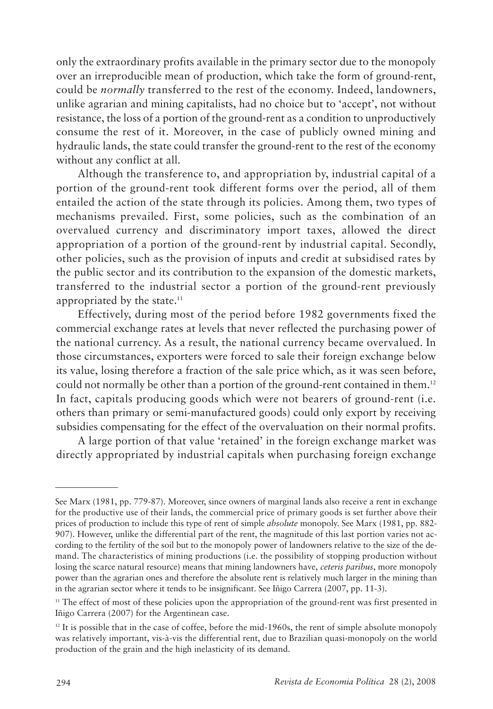only the extraordinary profits available in the primary sector due to the monopoly over an irreproducible mean of production, which take the form of ground-rent, could be *normally* transferred to the rest of the economy. Indeed, landowners, unlike agrarian and mining capitalists, had no choice but to 'accept', not without resistance, the loss of a portion of the ground-rent as a condition to unproductively consume the rest of it. Moreover, in the case of publicly owned mining and hydraulic lands, the state could transfer the ground-rent to the rest of the economy without any conflict at all.

Although the transference to, and appropriation by, industrial capital of a portion of the ground-rent took different forms over the period, all of them entailed the action of the state through its policies. Among them, two types of mechanisms prevailed. First, some policies, such as the combination of an overvalued currency and discriminatory import taxes, allowed the direct appropriation of a portion of the ground-rent by industrial capital. Secondly, other policies, such as the provision of inputs and credit at subsidised rates by the public sector and its contribution to the expansion of the domestic markets, transferred to the industrial sector a portion of the ground-rent previously appropriated by the state.<sup>11</sup>

Effectively, during most of the period before 1982 governments fixed the commercial exchange rates at levels that never reflected the purchasing power of the national currency. As a result, the national currency became overvalued. In those circumstances, exporters were forced to sale their foreign exchange below its value, losing therefore a fraction of the sale price which, as it was seen before, could not normally be other than a portion of the ground-rent contained in them.12 In fact, capitals producing goods which were not bearers of ground-rent (i.e. others than primary or semi-manufactured goods) could only export by receiving subsidies compensating for the effect of the overvaluation on their normal profits.

A large portion of that value 'retained' in the foreign exchange market was directly appropriated by industrial capitals when purchasing foreign exchange

See Marx (1981, pp. 779-87). Moreover, since owners of marginal lands also receive a rent in exchange for the productive use of their lands, the commercial price of primary goods is set further above their prices of production to include this type of rent of simple *absolute* monopoly. See Marx (1981, pp. 882- 907). However, unlike the differential part of the rent, the magnitude of this last portion varies not according to the fertility of the soil but to the monopoly power of landowners relative to the size of the demand. The characteristics of mining productions (i.e. the possibility of stopping production without losing the scarce natural resource) means that mining landowners have, *ceteris paribus*, more monopoly power than the agrarian ones and therefore the absolute rent is relatively much larger in the mining than in the agrarian sector where it tends to be insignificant. See Iñigo Carrera (2007, pp. 11-3).

<sup>&</sup>lt;sup>11</sup> The effect of most of these policies upon the appropriation of the ground-rent was first presented in Iñigo Carrera (2007) for the Argentinean case.

 $12$  It is possible that in the case of coffee, before the mid-1960s, the rent of simple absolute monopoly was relatively important, vis-à-vis the differential rent, due to Brazilian quasi-monopoly on the world production of the grain and the high inelasticity of its demand.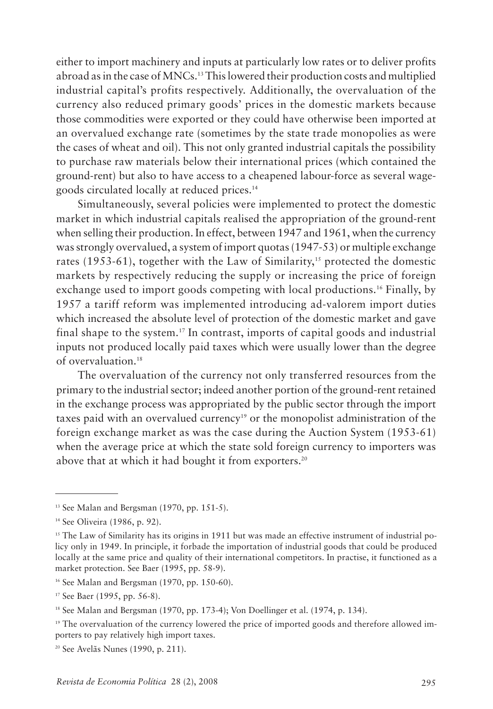either to import machinery and inputs at particularly low rates or to deliver profits abroad as in the case of MNCs.13 This lowered their production costs and multiplied industrial capital's profits respectively. Additionally, the overvaluation of the currency also reduced primary goods' prices in the domestic markets because those commodities were exported or they could have otherwise been imported at an overvalued exchange rate (sometimes by the state trade monopolies as were the cases of wheat and oil). This not only granted industrial capitals the possibility to purchase raw materials below their international prices (which contained the ground-rent) but also to have access to a cheapened labour-force as several wagegoods circulated locally at reduced prices.14

Simultaneously, several policies were implemented to protect the domestic market in which industrial capitals realised the appropriation of the ground-rent when selling their production. In effect, between 1947 and 1961, when the currency was strongly overvalued, a system of import quotas (1947-53) or multiple exchange rates (1953-61), together with the Law of Similarity,<sup>15</sup> protected the domestic markets by respectively reducing the supply or increasing the price of foreign exchange used to import goods competing with local productions.<sup>16</sup> Finally, by 1957 a tariff reform was implemented introducing ad-valorem import duties which increased the absolute level of protection of the domestic market and gave final shape to the system.<sup>17</sup> In contrast, imports of capital goods and industrial inputs not produced locally paid taxes which were usually lower than the degree of overvaluation.<sup>18</sup>

The overvaluation of the currency not only transferred resources from the primary to the industrial sector; indeed another portion of the ground-rent retained in the exchange process was appropriated by the public sector through the import taxes paid with an overvalued currency<sup>19</sup> or the monopolist administration of the foreign exchange market as was the case during the Auction System (1953-61) when the average price at which the state sold foreign currency to importers was above that at which it had bought it from exporters.<sup>20</sup>

<sup>13</sup> See Malan and Bergsman (1970, pp. 151-5).

<sup>14</sup> See Oliveira (1986, p. 92).

<sup>&</sup>lt;sup>15</sup> The Law of Similarity has its origins in 1911 but was made an effective instrument of industrial policy only in 1949. In principle, it forbade the importation of industrial goods that could be produced locally at the same price and quality of their international competitors. In practise, it functioned as a market protection. See Baer (1995, pp. 58-9).

<sup>16</sup> See Malan and Bergsman (1970, pp. 150-60).

<sup>17</sup> See Baer (1995, pp. 56-8).

<sup>&</sup>lt;sup>18</sup> See Malan and Bergsman (1970, pp. 173-4); Von Doellinger et al. (1974, p. 134).

<sup>&</sup>lt;sup>19</sup> The overvaluation of the currency lowered the price of imported goods and therefore allowed importers to pay relatively high import taxes.

<sup>20</sup> See Avelãs Nunes (1990, p. 211).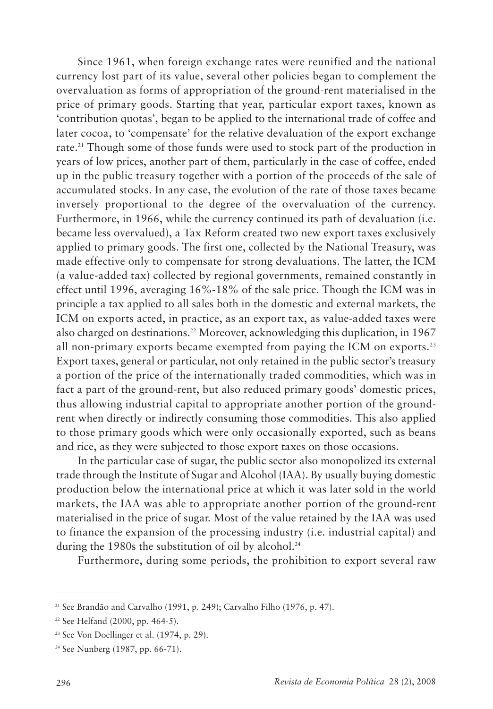Since 1961, when foreign exchange rates were reunified and the national currency lost part of its value, several other policies began to complement the overvaluation as forms of appropriation of the ground-rent materialised in the price of primary goods. Starting that year, particular export taxes, known as 'contribution quotas', began to be applied to the international trade of coffee and later cocoa, to 'compensate' for the relative devaluation of the export exchange rate.<sup>21</sup> Though some of those funds were used to stock part of the production in years of low prices, another part of them, particularly in the case of coffee, ended up in the public treasury together with a portion of the proceeds of the sale of accumulated stocks. In any case, the evolution of the rate of those taxes became inversely proportional to the degree of the overvaluation of the currency. Furthermore, in 1966, while the currency continued its path of devaluation (i.e. became less overvalued), a Tax Reform created two new export taxes exclusively applied to primary goods. The first one, collected by the National Treasury, was made effective only to compensate for strong devaluations. The latter, the ICM (a value-added tax) collected by regional governments, remained constantly in effect until 1996, averaging 16%-18% of the sale price. Though the ICM was in principle a tax applied to all sales both in the domestic and external markets, the ICM on exports acted, in practice, as an export tax, as value-added taxes were also charged on destinations.<sup>22</sup> Moreover, acknowledging this duplication, in 1967 all non-primary exports became exempted from paying the ICM on exports.<sup>23</sup> Export taxes, general or particular, not only retained in the public sector's treasury a portion of the price of the internationally traded commodities, which was in fact a part of the ground-rent, but also reduced primary goods' domestic prices, thus allowing industrial capital to appropriate another portion of the groundrent when directly or indirectly consuming those commodities. This also applied to those primary goods which were only occasionally exported, such as beans and rice, as they were subjected to those export taxes on those occasions.

In the particular case of sugar, the public sector also monopolized its external trade through the Institute of Sugar and Alcohol (IAA). By usually buying domestic production below the international price at which it was later sold in the world markets, the IAA was able to appropriate another portion of the ground-rent materialised in the price of sugar. Most of the value retained by the IAA was used to finance the expansion of the processing industry (i.e. industrial capital) and during the 1980s the substitution of oil by alcohol.<sup>24</sup>

Furthermore, during some periods, the prohibition to export several raw

<sup>21</sup> See Brandão and Carvalho (1991, p. 249); Carvalho Filho (1976, p. 47).

 $22$  See Helfand (2000, pp. 464-5).

 $23$  See Von Doellinger et al. (1974, p. 29).

<sup>24</sup> See Nunberg (1987, pp. 66-71).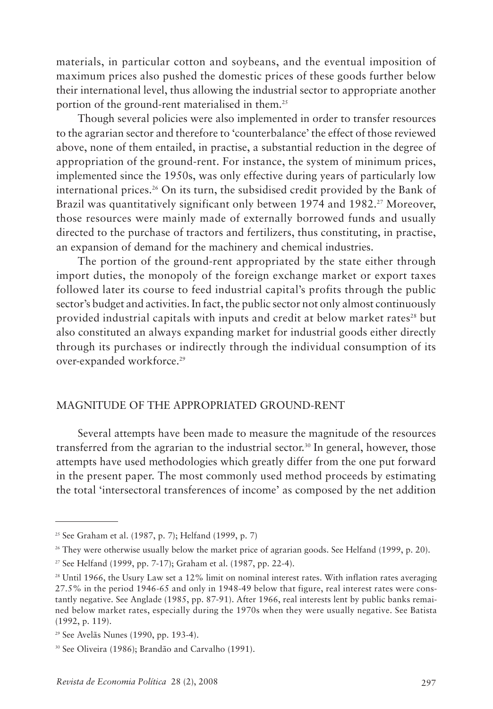materials, in particular cotton and soybeans, and the eventual imposition of maximum prices also pushed the domestic prices of these goods further below their international level, thus allowing the industrial sector to appropriate another portion of the ground-rent materialised in them.25

Though several policies were also implemented in order to transfer resources to the agrarian sector and therefore to 'counterbalance' the effect of those reviewed above, none of them entailed, in practise, a substantial reduction in the degree of appropriation of the ground-rent. For instance, the system of minimum prices, implemented since the 1950s, was only effective during years of particularly low international prices.26 On its turn, the subsidised credit provided by the Bank of Brazil was quantitatively significant only between 1974 and 1982.<sup>27</sup> Moreover, those resources were mainly made of externally borrowed funds and usually directed to the purchase of tractors and fertilizers, thus constituting, in practise, an expansion of demand for the machinery and chemical industries.

The portion of the ground-rent appropriated by the state either through import duties, the monopoly of the foreign exchange market or export taxes followed later its course to feed industrial capital's profits through the public sector's budget and activities. In fact, the public sector not only almost continuously provided industrial capitals with inputs and credit at below market rates<sup>28</sup> but also constituted an always expanding market for industrial goods either directly through its purchases or indirectly through the individual consumption of its over-expanded workforce.<sup>29</sup>

# MAGNITUDE OF THE APPROPRIATED GROUND-RENT

Several attempts have been made to measure the magnitude of the resources transferred from the agrarian to the industrial sector.<sup>30</sup> In general, however, those attempts have used methodologies which greatly differ from the one put forward in the present paper. The most commonly used method proceeds by estimating the total 'intersectoral transferences of income' as composed by the net addition

<sup>&</sup>lt;sup>25</sup> See Graham et al. (1987, p. 7); Helfand (1999, p. 7)

<sup>&</sup>lt;sup>26</sup> They were otherwise usually below the market price of agrarian goods. See Helfand (1999, p. 20).

<sup>27</sup> See Helfand (1999, pp. 7-17); Graham et al. (1987, pp. 22-4).

 $28$  Until 1966, the Usury Law set a 12% limit on nominal interest rates. With inflation rates averaging 27.5% in the period 1946-65 and only in 1948-49 below that figure, real interest rates were constantly negative. See Anglade (1985, pp. 87-91). After 1966, real interests lent by public banks remained below market rates, especially during the 1970s when they were usually negative. See Batista (1992, p. 119).

<sup>29</sup> See Avelãs Nunes (1990, pp. 193-4).

<sup>30</sup> See Oliveira (1986); Brandão and Carvalho (1991).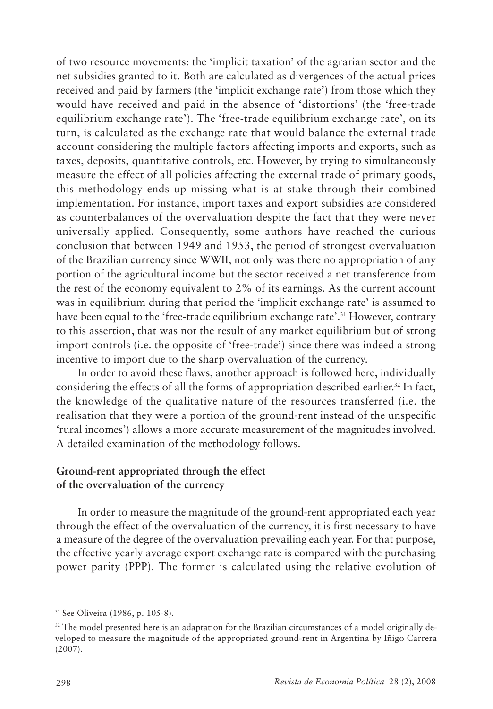of two resource movements: the 'implicit taxation' of the agrarian sector and the net subsidies granted to it. Both are calculated as divergences of the actual prices received and paid by farmers (the 'implicit exchange rate') from those which they would have received and paid in the absence of 'distortions' (the 'free-trade equilibrium exchange rate'). The 'free-trade equilibrium exchange rate', on its turn, is calculated as the exchange rate that would balance the external trade account considering the multiple factors affecting imports and exports, such as taxes, deposits, quantitative controls, etc. However, by trying to simultaneously measure the effect of all policies affecting the external trade of primary goods, this methodology ends up missing what is at stake through their combined implementation. For instance, import taxes and export subsidies are considered as counterbalances of the overvaluation despite the fact that they were never universally applied. Consequently, some authors have reached the curious conclusion that between 1949 and 1953, the period of strongest overvaluation of the Brazilian currency since WWII, not only was there no appropriation of any portion of the agricultural income but the sector received a net transference from the rest of the economy equivalent to 2% of its earnings. As the current account was in equilibrium during that period the 'implicit exchange rate' is assumed to have been equal to the 'free-trade equilibrium exchange rate'.<sup>31</sup> However, contrary to this assertion, that was not the result of any market equilibrium but of strong import controls (i.e. the opposite of 'free-trade') since there was indeed a strong incentive to import due to the sharp overvaluation of the currency.

In order to avoid these flaws, another approach is followed here, individually considering the effects of all the forms of appropriation described earlier.<sup>32</sup> In fact, the knowledge of the qualitative nature of the resources transferred (i.e. the realisation that they were a portion of the ground-rent instead of the unspecific 'rural incomes') allows a more accurate measurement of the magnitudes involved. A detailed examination of the methodology follows.

# **Ground-rent appropriated through the effect of the overvaluation of the currency**

In order to measure the magnitude of the ground-rent appropriated each year through the effect of the overvaluation of the currency, it is first necessary to have a measure of the degree of the overvaluation prevailing each year. For that purpose, the effective yearly average export exchange rate is compared with the purchasing power parity (PPP). The former is calculated using the relative evolution of

<sup>31</sup> See Oliveira (1986, p. 105-8).

<sup>&</sup>lt;sup>32</sup> The model presented here is an adaptation for the Brazilian circumstances of a model originally developed to measure the magnitude of the appropriated ground-rent in Argentina by Iñigo Carrera (2007).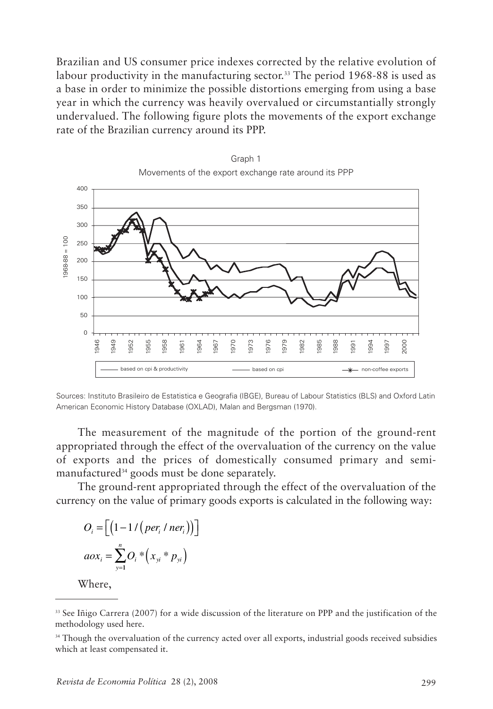Brazilian and US consumer price indexes corrected by the relative evolution of labour productivity in the manufacturing sector.<sup>33</sup> The period 1968-88 is used as a base in order to minimize the possible distortions emerging from using a base year in which the currency was heavily overvalued or circumstantially strongly undervalued. The following figure plots the movements of the export exchange rate of the Brazilian currency around its PPP.



Graph 1 Movements of the export exchange rate around its PPP

The measurement of the magnitude of the portion of the ground-rent appropriated through the effect of the overvaluation of the currency on the value of exports and the prices of domestically consumed primary and semimanufactured<sup>34</sup> goods must be done separately.

The ground-rent appropriated through the effect of the overvaluation of the currency on the value of primary goods exports is calculated in the following way:

$$
O_i = \Big[ \Big( 1 - 1 / \Big( per_i / ner_i \Big) \Big) \Big]
$$
  

$$
a_1 = \sum_{y=1}^n O_i * \Big( x_{yi} * p_{yi} \Big)
$$

Where,

Sources: Instituto Brasileiro de Estatistica e Geografia (IBGE), Bureau of Labour Statistics (BLS) and Oxford Latin American Economic History Database (OXLAD), Malan and Bergsman (1970).

<sup>&</sup>lt;sup>33</sup> See Iñigo Carrera (2007) for a wide discussion of the literature on PPP and the justification of the methodology used here.

<sup>&</sup>lt;sup>34</sup> Though the overvaluation of the currency acted over all exports, industrial goods received subsidies which at least compensated it.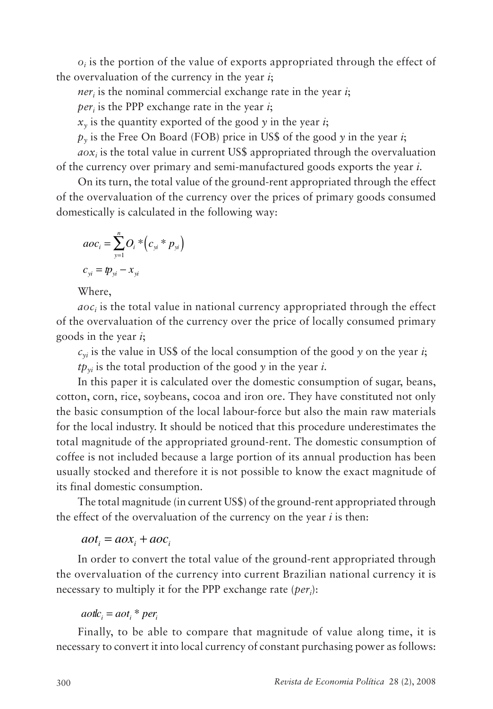*oi* is the portion of the value of exports appropriated through the effect of the overvaluation of the currency in the year *i*;

*ner<sub>i</sub>* is the nominal commercial exchange rate in the year  $i$ ;

*per<sub>i</sub>* is the PPP exchange rate in the year  $i$ ;

 $x<sub>y</sub>$  is the quantity exported of the good *y* in the year *i*;

 $p_y$  is the Free On Board (FOB) price in US\$ of the good *y* in the year *i*;

*aoxi* is the total value in current US\$ appropriated through the overvaluation of the currency over primary and semi-manufactured goods exports the year *i.*

On its turn, the total value of the ground-rent appropriated through the effect of the overvaluation of the currency over the prices of primary goods consumed domestically is calculated in the following way:

$$
aoc_i = \sum_{y=1}^n O_i * (c_{yi} * p_{yi})
$$
  

$$
c_{yi} = p_{yi} - x_{yi}
$$

Where,

*aoci* is the total value in national currency appropriated through the effect of the overvaluation of the currency over the price of locally consumed primary goods in the year *i*;

 $c_{vi}$  is the value in US\$ of the local consumption of the good *y* on the year *i*;

 $tp_{yi}$  is the total production of the good *y* in the year *i*.

In this paper it is calculated over the domestic consumption of sugar, beans, cotton, corn, rice, soybeans, cocoa and iron ore. They have constituted not only the basic consumption of the local labour-force but also the main raw materials for the local industry. It should be noticed that this procedure underestimates the total magnitude of the appropriated ground-rent. The domestic consumption of coffee is not included because a large portion of its annual production has been usually stocked and therefore it is not possible to know the exact magnitude of its final domestic consumption.

The total magnitude (in current US\$) of the ground-rent appropriated through the effect of the overvaluation of the currency on the year *i* is then:

# $aot_i = aox_i + aoc_i$

In order to convert the total value of the ground-rent appropriated through the overvaluation of the currency into current Brazilian national currency it is necessary to multiply it for the PPP exchange rate (*per<sub>i</sub>*):

# $a \circ t \cdot c_i = a \circ t_i * p \cdot c_i$

Finally, to be able to compare that magnitude of value along time, it is necessary to convert it into local currency of constant purchasing power as follows: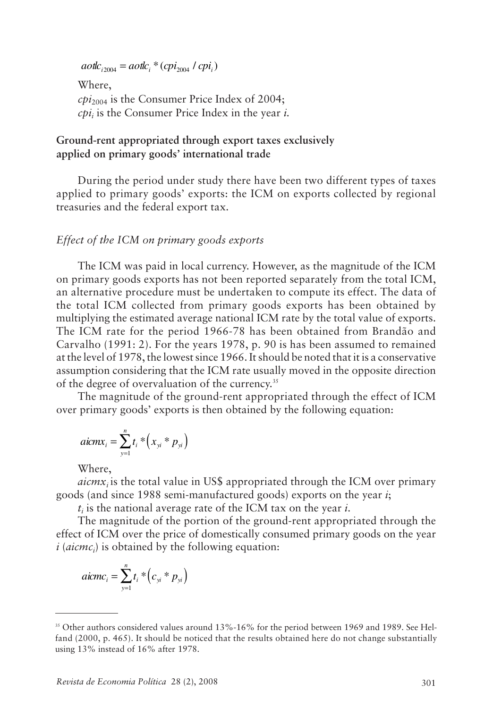$a \circ t \circ c_{i} = a \circ t \circ c_i * (c \circ i_{i} \circ c \circ i_i)$ 

Where,  $\frac{c\pi i_{2004}}{2004}$  is the Consumer Price Index of 2004; *cpii* is the Consumer Price Index in the year *i.*

# **Ground-rent appropriated through export taxes exclusively applied on primary goods' international trade**

During the period under study there have been two different types of taxes applied to primary goods' exports: the ICM on exports collected by regional treasuries and the federal export tax.

### *Effect of the ICM on primary goods exports*

The ICM was paid in local currency. However, as the magnitude of the ICM on primary goods exports has not been reported separately from the total ICM, an alternative procedure must be undertaken to compute its effect. The data of the total ICM collected from primary goods exports has been obtained by multiplying the estimated average national ICM rate by the total value of exports. The ICM rate for the period 1966-78 has been obtained from Brandão and Carvalho (1991: 2). For the years 1978, p. 90 is has been assumed to remained at the level of 1978, the lowest since 1966. It should be noted that it is a conservative assumption considering that the ICM rate usually moved in the opposite direction of the degree of overvaluation of the currency.<sup>35</sup>

The magnitude of the ground-rent appropriated through the effect of ICM over primary goods' exports is then obtained by the following equation:

$$
aicmx_i = \sum_{y=1}^n t_i * (x_{yi} * p_{yi})
$$

Where,

 $\textit{aicmx}_i$  is the total value in US\$ appropriated through the ICM over primary goods (and since 1988 semi-manufactured goods) exports on the year *i*;

 $t_i$  is the national average rate of the ICM tax on the year *i*.

The magnitude of the portion of the ground-rent appropriated through the effect of ICM over the price of domestically consumed primary goods on the year *i* (*aicmc<sub>i</sub>*) is obtained by the following equation:

$$
aicmc_i = \sum_{y=1}^n t_i * (c_{yi} * p_{yi})
$$

<sup>35</sup> Other authors considered values around 13%-16% for the period between 1969 and 1989. See Helfand (2000, p. 465). It should be noticed that the results obtained here do not change substantially using 13% instead of 16% after 1978.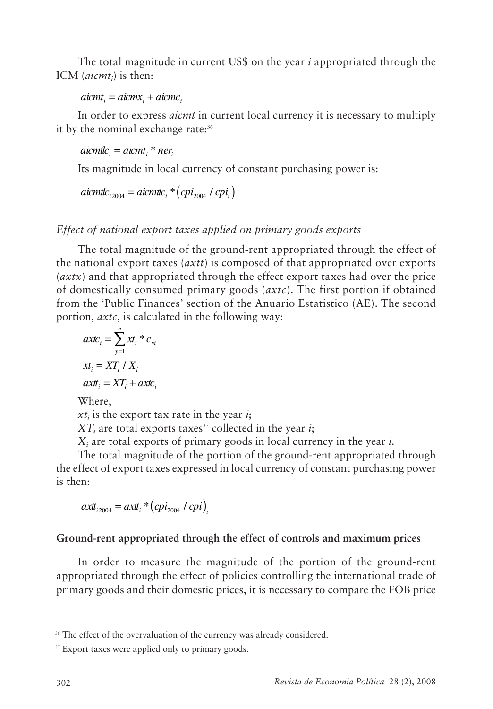The total magnitude in current US\$ on the year *i* appropriated through the ICM (*aicmt<sub>i</sub>*) is then:

 $a$ *icmt*<sub>*i*</sub> =  $a$ *icmx*<sub>*i*</sub> +  $a$ *icmc*<sub>*i*</sub>

In order to express *aicmt* in current local currency it is necessary to multiply it by the nominal exchange rate:<sup>36</sup>

 $a$ *icmtlc*, =  $a$ *icmt*, \* *ner*,

Its magnitude in local currency of constant purchasing power is:

 $\textit{aicmtlc}_{i;\text{2004}} = \textit{aicmtlc}_{i} * (\textit{cpi}_{\text{2004}} / \textit{cpi}_{i})$ 

# *Effect of national export taxes applied on primary goods exports*

The total magnitude of the ground-rent appropriated through the effect of the national export taxes (*axtt*) is composed of that appropriated over exports (*axtx*) and that appropriated through the effect export taxes had over the price of domestically consumed primary goods (*axtc*). The first portion if obtained from the 'Public Finances' section of the Anuario Estatistico (AE). The second portion, *axtc*, is calculated in the following way:

$$
axtc_i = \sum_{y=1}^{n} xt_i * c_{yi}
$$
  

$$
xt_i = XT_i / X_i
$$
  

$$
axtt_i = XT_i + axtc_i
$$

Where,

 $xt<sub>i</sub>$  is the export tax rate in the year  $i$ ;

 $XT_i$  are total exports taxes<sup>37</sup> collected in the year *i*;

*Xi* are total exports of primary goods in local currency in the year *i.*

The total magnitude of the portion of the ground-rent appropriated through the effect of export taxes expressed in local currency of constant purchasing power is then:

$$
axt_{i2004} = axt_{i} * (cpi_{2004} / cpi)_{i}
$$

# **Ground-rent appropriated through the effect of controls and maximum prices**

In order to measure the magnitude of the portion of the ground-rent appropriated through the effect of policies controlling the international trade of primary goods and their domestic prices, it is necessary to compare the FOB price

<sup>&</sup>lt;sup>36</sup> The effect of the overvaluation of the currency was already considered.

<sup>&</sup>lt;sup>37</sup> Export taxes were applied only to primary goods.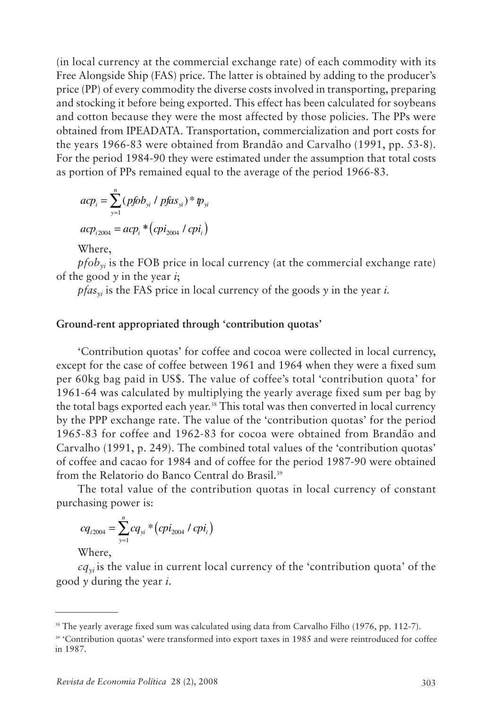(in local currency at the commercial exchange rate) of each commodity with its Free Alongside Ship (FAS) price. The latter is obtained by adding to the producer's price (PP) of every commodity the diverse costs involved in transporting, preparing and stocking it before being exported. This effect has been calculated for soybeans and cotton because they were the most affected by those policies. The PPs were obtained from IPEADATA. Transportation, commercialization and port costs for the years 1966-83 were obtained from Brandão and Carvalho (1991, pp. 53-8). For the period 1984-90 they were estimated under the assumption that total costs as portion of PPs remained equal to the average of the period 1966-83.

$$
acp_i = \sum_{y=1}^{n} (pfob_{yi} / pfas_{yi}) * tp_{yi}
$$

$$
acp_{i2004} = acp_i * (cpi_{2004} / cpi_i)
$$

Where,

 $p f \circ b_{vi}$  is the FOB price in local currency (at the commercial exchange rate) of the good *y* in the year *i*;

*pfas<sub>yi</sub>* is the FAS price in local currency of the goods  $\gamma$  in the year *i*.

#### **Ground-rent appropriated through 'contribution quotas'**

'Contribution quotas' for coffee and cocoa were collected in local currency, except for the case of coffee between 1961 and 1964 when they were a fixed sum per 60kg bag paid in US\$. The value of coffee's total 'contribution quota' for 1961-64 was calculated by multiplying the yearly average fixed sum per bag by the total bags exported each year.<sup>38</sup> This total was then converted in local currency by the PPP exchange rate. The value of the 'contribution quotas' for the period 1965-83 for coffee and 1962-83 for cocoa were obtained from Brandão and Carvalho (1991, p. 249). The combined total values of the 'contribution quotas' of coffee and cacao for 1984 and of coffee for the period 1987-90 were obtained from the Relatorio do Banco Central do Brasil.39

The total value of the contribution quotas in local currency of constant purchasing power is:

$$
cq_{i2004} = \sum_{y=1}^{n} cq_{yi} * (cpi_{2004} / cpi_i)
$$

Where,

*cqyi* is the value in current local currency of the 'contribution quota' of the good *y* during the year *i*.

<sup>&</sup>lt;sup>38</sup> The yearly average fixed sum was calculated using data from Carvalho Filho (1976, pp. 112-7).

<sup>39</sup> 'Contribution quotas' were transformed into export taxes in 1985 and were reintroduced for coffee in 1987.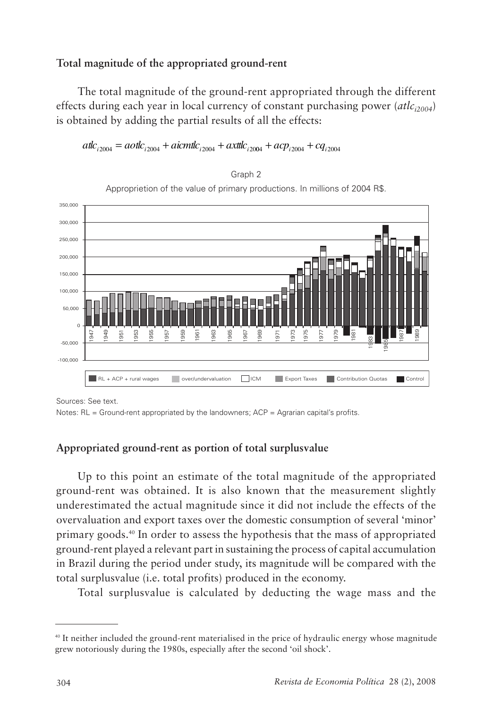# **Total magnitude of the appropriated ground-rent**

The total magnitude of the ground-rent appropriated through the different effects during each year in local currency of constant purchasing power *(atlc*<sub>2004</sub>) is obtained by adding the partial results of all the effects:

```
\alpha ti c_{i2004} = \alpha \text{ of } c_{i2004} + \text{ aicmtl } c_{i2004} + \text{ axttl } c_{i2004} + \text{ acp}_{i2004} + \text{ cq}_{i2004}
```


Graph 2 Approprietion of the value of primary productions. In millions of 2004 R\$.

Sources: See text.

Notes: RL = Ground-rent appropriated by the landowners; ACP = Agrarian capital's profits.

## **Appropriated ground-rent as portion of total surplusvalue**

Up to this point an estimate of the total magnitude of the appropriated ground-rent was obtained. It is also known that the measurement slightly underestimated the actual magnitude since it did not include the effects of the overvaluation and export taxes over the domestic consumption of several 'minor' primary goods.40 In order to assess the hypothesis that the mass of appropriated ground-rent played a relevant part in sustaining the process of capital accumulation in Brazil during the period under study, its magnitude will be compared with the total surplusvalue (i.e. total profits) produced in the economy.

Total surplusvalue is calculated by deducting the wage mass and the

<sup>40</sup> It neither included the ground-rent materialised in the price of hydraulic energy whose magnitude grew notoriously during the 1980s, especially after the second 'oil shock'.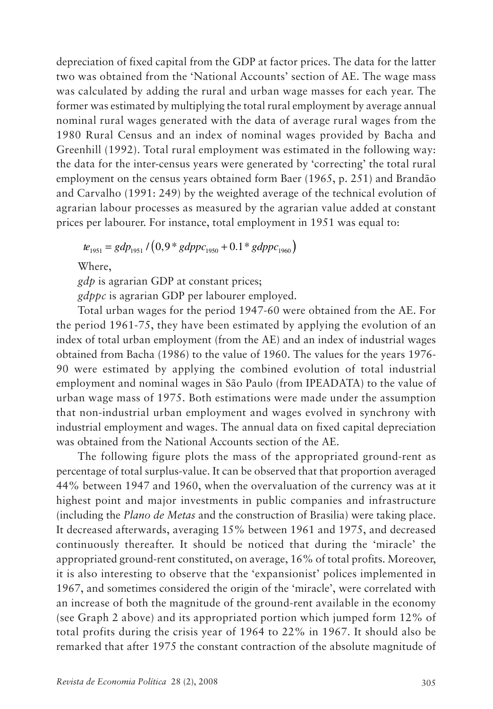depreciation of fixed capital from the GDP at factor prices. The data for the latter two was obtained from the 'National Accounts' section of AE. The wage mass was calculated by adding the rural and urban wage masses for each year. The former was estimated by multiplying the total rural employment by average annual nominal rural wages generated with the data of average rural wages from the 1980 Rural Census and an index of nominal wages provided by Bacha and Greenhill (1992). Total rural employment was estimated in the following way: the data for the inter-census years were generated by 'correcting' the total rural employment on the census years obtained form Baer (1965, p. 251) and Brandão and Carvalho (1991: 249) by the weighted average of the technical evolution of agrarian labour processes as measured by the agrarian value added at constant prices per labourer. For instance, total employment in 1951 was equal to:

 $te_{1951} = gdp_{1951} / (0.9 * gdppc_{1950} + 0.1 * gdppc_{1950})$ 

Where,

*gdp* is agrarian GDP at constant prices;

*gdppc* is agrarian GDP per labourer employed.

Total urban wages for the period 1947-60 were obtained from the AE. For the period 1961-75, they have been estimated by applying the evolution of an index of total urban employment (from the AE) and an index of industrial wages obtained from Bacha (1986) to the value of 1960. The values for the years 1976- 90 were estimated by applying the combined evolution of total industrial employment and nominal wages in São Paulo (from IPEADATA) to the value of urban wage mass of 1975. Both estimations were made under the assumption that non-industrial urban employment and wages evolved in synchrony with industrial employment and wages. The annual data on fixed capital depreciation was obtained from the National Accounts section of the AE.

The following figure plots the mass of the appropriated ground-rent as percentage of total surplus-value. It can be observed that that proportion averaged 44% between 1947 and 1960, when the overvaluation of the currency was at it highest point and major investments in public companies and infrastructure (including the *Plano de Metas* and the construction of Brasilia) were taking place. It decreased afterwards, averaging 15% between 1961 and 1975, and decreased continuously thereafter. It should be noticed that during the 'miracle' the appropriated ground-rent constituted, on average, 16% of total profits. Moreover, it is also interesting to observe that the 'expansionist' polices implemented in 1967, and sometimes considered the origin of the 'miracle', were correlated with an increase of both the magnitude of the ground-rent available in the economy (see Graph 2 above) and its appropriated portion which jumped form 12% of total profits during the crisis year of 1964 to 22% in 1967. It should also be remarked that after 1975 the constant contraction of the absolute magnitude of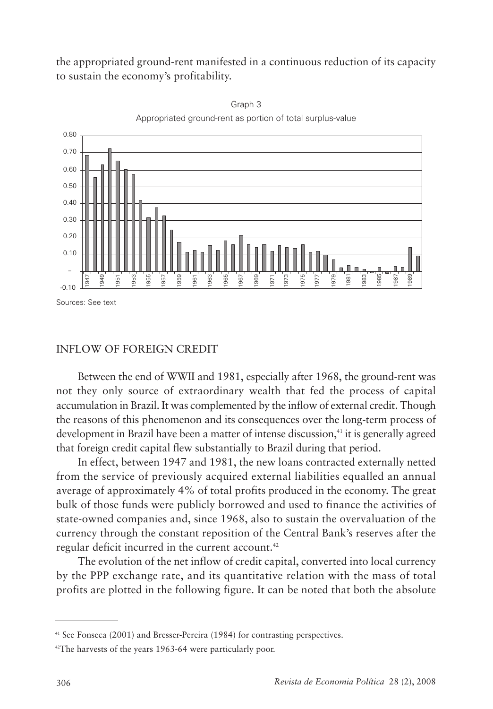the appropriated ground-rent manifested in a continuous reduction of its capacity to sustain the economy's profitability.





Sources: See text

### INFLOW OF FOREIGN CREDIT

Between the end of WWII and 1981, especially after 1968, the ground-rent was not they only source of extraordinary wealth that fed the process of capital accumulation in Brazil. It was complemented by the inflow of external credit. Though the reasons of this phenomenon and its consequences over the long-term process of development in Brazil have been a matter of intense discussion,<sup>41</sup> it is generally agreed that foreign credit capital flew substantially to Brazil during that period.

In effect, between 1947 and 1981, the new loans contracted externally netted from the service of previously acquired external liabilities equalled an annual average of approximately 4% of total profits produced in the economy. The great bulk of those funds were publicly borrowed and used to finance the activities of state-owned companies and, since 1968, also to sustain the overvaluation of the currency through the constant reposition of the Central Bank's reserves after the regular deficit incurred in the current account.<sup>42</sup>

The evolution of the net inflow of credit capital, converted into local currency by the PPP exchange rate, and its quantitative relation with the mass of total profits are plotted in the following figure. It can be noted that both the absolute

<sup>41</sup> See Fonseca (2001) and Bresser-Pereira (1984) for contrasting perspectives.

<sup>&</sup>lt;sup>42</sup>The harvests of the years 1963-64 were particularly poor.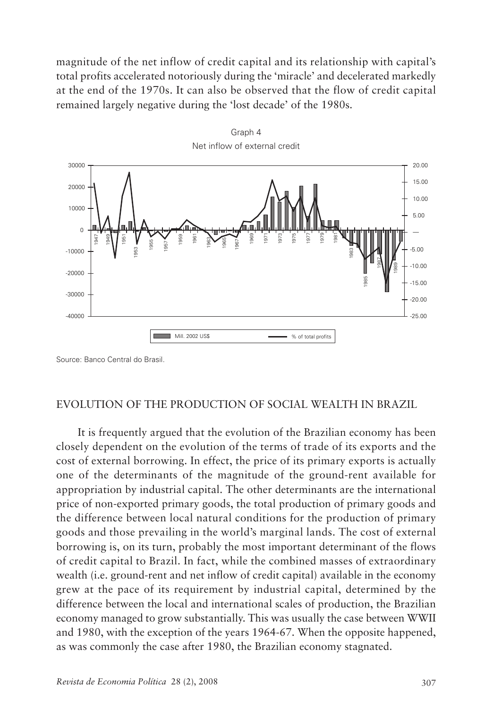magnitude of the net inflow of credit capital and its relationship with capital's total profits accelerated notoriously during the 'miracle' and decelerated markedly at the end of the 1970s. It can also be observed that the flow of credit capital remained largely negative during the 'lost decade' of the 1980s.





## EVOLUTION OF THE PRODUCTION OF SOCIAL WEALTH IN BRAZIL

It is frequently argued that the evolution of the Brazilian economy has been closely dependent on the evolution of the terms of trade of its exports and the cost of external borrowing. In effect, the price of its primary exports is actually one of the determinants of the magnitude of the ground-rent available for appropriation by industrial capital. The other determinants are the international price of non-exported primary goods, the total production of primary goods and the difference between local natural conditions for the production of primary goods and those prevailing in the world's marginal lands. The cost of external borrowing is, on its turn, probably the most important determinant of the flows of credit capital to Brazil. In fact, while the combined masses of extraordinary wealth (i.e. ground-rent and net inflow of credit capital) available in the economy grew at the pace of its requirement by industrial capital, determined by the difference between the local and international scales of production, the Brazilian economy managed to grow substantially. This was usually the case between WWII and 1980, with the exception of the years 1964-67. When the opposite happened, as was commonly the case after 1980, the Brazilian economy stagnated.

Source: Banco Central do Brasil.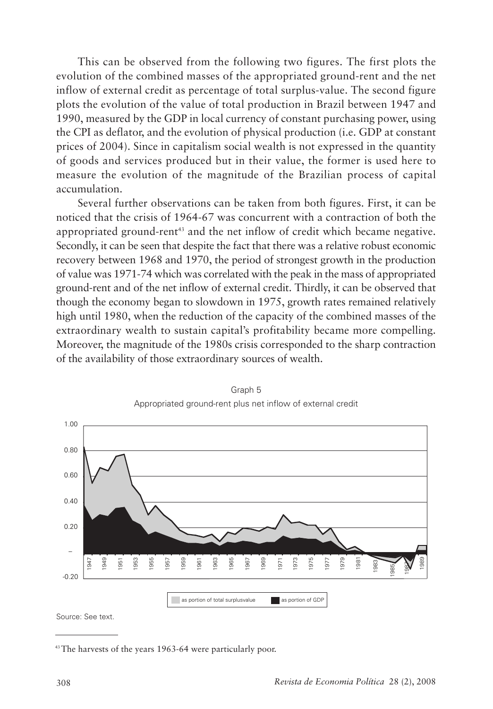This can be observed from the following two figures. The first plots the evolution of the combined masses of the appropriated ground-rent and the net inflow of external credit as percentage of total surplus-value. The second figure plots the evolution of the value of total production in Brazil between 1947 and 1990, measured by the GDP in local currency of constant purchasing power, using the CPI as deflator, and the evolution of physical production (i.e. GDP at constant prices of 2004). Since in capitalism social wealth is not expressed in the quantity of goods and services produced but in their value, the former is used here to measure the evolution of the magnitude of the Brazilian process of capital accumulation.

Several further observations can be taken from both figures. First, it can be noticed that the crisis of 1964-67 was concurrent with a contraction of both the appropriated ground-rent<sup>43</sup> and the net inflow of credit which became negative. Secondly, it can be seen that despite the fact that there was a relative robust economic recovery between 1968 and 1970, the period of strongest growth in the production of value was 1971-74 which was correlated with the peak in the mass of appropriated ground-rent and of the net inflow of external credit. Thirdly, it can be observed that though the economy began to slowdown in 1975, growth rates remained relatively high until 1980, when the reduction of the capacity of the combined masses of the extraordinary wealth to sustain capital's profitability became more compelling. Moreover, the magnitude of the 1980s crisis corresponded to the sharp contraction of the availability of those extraordinary sources of wealth.



Graph 5 Appropriated ground-rent plus net inflow of external credit

Source: See text.

<sup>&</sup>lt;sup>43</sup> The harvests of the years 1963-64 were particularly poor.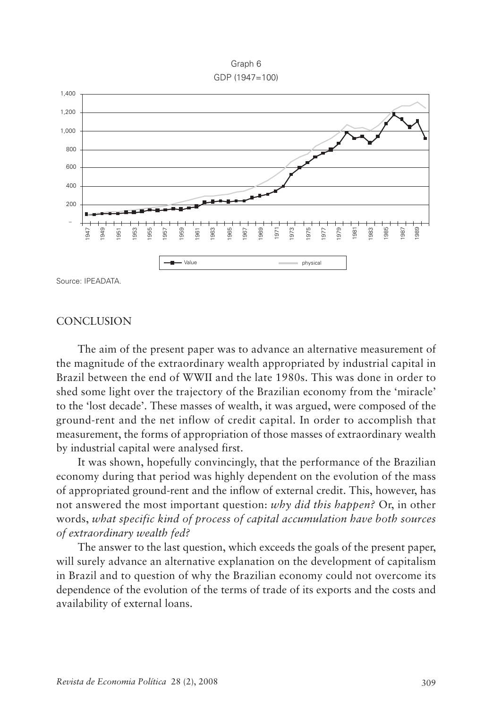



Source: IPEADATA.

## **CONCLUSION**

The aim of the present paper was to advance an alternative measurement of the magnitude of the extraordinary wealth appropriated by industrial capital in Brazil between the end of WWII and the late 1980s. This was done in order to shed some light over the trajectory of the Brazilian economy from the 'miracle' to the 'lost decade'. These masses of wealth, it was argued, were composed of the ground-rent and the net inflow of credit capital. In order to accomplish that measurement, the forms of appropriation of those masses of extraordinary wealth by industrial capital were analysed first.

It was shown, hopefully convincingly, that the performance of the Brazilian economy during that period was highly dependent on the evolution of the mass of appropriated ground-rent and the inflow of external credit. This, however, has not answered the most important question: *why did this happen?* Or, in other words, *what specific kind of process of capital accumulation have both sources of extraordinary wealth fed?*

The answer to the last question, which exceeds the goals of the present paper, will surely advance an alternative explanation on the development of capitalism in Brazil and to question of why the Brazilian economy could not overcome its dependence of the evolution of the terms of trade of its exports and the costs and availability of external loans.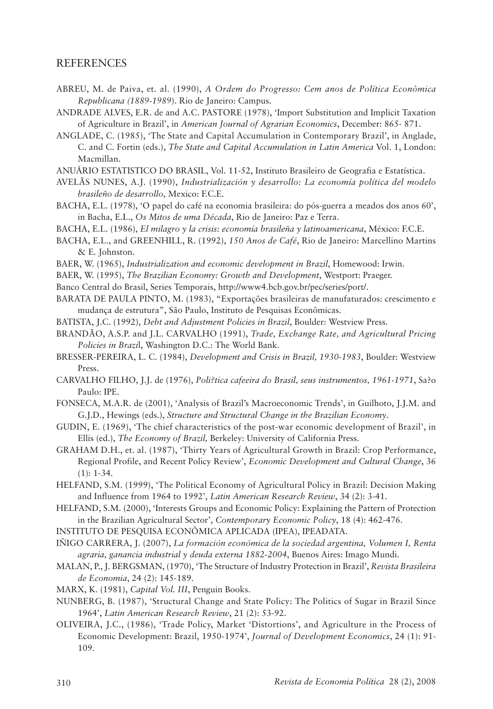## **REFERENCES**

- ABREU, M. de Paiva, et. al. (1990), *A Ordem do Progresso: Cem anos de Política Econômica Republicana (1889-1989*). Rio de Janeiro: Campus.
- ANDRADE ALVES, E.R. de and A.C. PASTORE (1978), 'Import Substitution and Implicit Taxation of Agriculture in Brazil', in *American Journal of Agrarian Economics*, December: 865- 871.
- ANGLADE, C. (1985), 'The State and Capital Accumulation in Contemporary Brazil', in Anglade, C. and C. Fortin (eds.), *The State and Capital Accumulation in Latin America* Vol. 1, London: Macmillan.
- ANUÁRIO ESTATISTICO DO BRASIL, Vol. 11-52, Instituto Brasileiro de Geografia e Estatística.
- AVELÃS NUNES, A.J. (1990), *Industrialización y desarrollo: La economía política del modelo brasileño de desarrollo*, Mexico: F.C.E.
- BACHA, E.L. (1978), 'O papel do café na economia brasileira: do pós-guerra a meados dos anos 60', in Bacha, E.L., *Os Mitos de uma Década*, Rio de Janeiro: Paz e Terra.
- BACHA, E.L. (1986), *El milagro y la crisis: economía brasileña y latinoamericana*, México: F.C.E.
- BACHA, E.L., and GREENHILL, R. (1992), *150 Anos de Café*, Rio de Janeiro: Marcellino Martins & E. Johnston.
- BAER, W. (1965), *Industrialization and economic development in Brazil*, Homewood: Irwin.
- BAER, W. (1995), *The Brazilian Economy: Growth and Development*, Westport: Praeger.
- Banco Central do Brasil, Series Temporais, http://www4.bcb.gov.br/pec/series/port/.
- BARATA DE PAULA PINTO, M. (1983), "Exportações brasileiras de manufaturados: crescimento e mudança de estrutura", São Paulo, Instituto de Pesquisas Econômicas.
- BATISTA, J.C. (1992), *Debt and Adjustment Policies in Brazil*, Boulder: Westview Press.
- BRANDÃO, A.S.P. and J.L. CARVALHO (1991), *Trade, Exchange Rate, and Agricultural Pricing Policies in Brazi*l, Washington D.C.: The World Bank.
- BRESSER-PEREIRA, L. C. (1984), *Development and Crisis in Brazil, 1930-1983*, Boulder: Westview Press.
- CARVALHO FILHO, J.J. de (1976), *Poli?tica cafeeira do Brasil, seus instrumentos, 1961-1971*, Sa?o Paulo: IPE.
- FONSECA, M.A.R. de (2001), 'Analysis of Brazil's Macroeconomic Trends', in Guilhoto, J.J.M. and G.J.D., Hewings (eds.), *Structure and Structural Change in the Brazilian Economy*.
- GUDIN, E. (1969), 'The chief characteristics of the post-war economic development of Brazil', in Ellis (ed.), *The Economy of Brazil,* Berkeley: University of California Press.
- GRAHAM D.H., et. al. (1987), 'Thirty Years of Agricultural Growth in Brazil: Crop Performance, Regional Profile, and Recent Policy Review', *Economic Development and Cultural Change*, 36 (1): 1-34.
- HELFAND, S.M. (1999), 'The Political Economy of Agricultural Policy in Brazil: Decision Making and Influence from 1964 to 1992', *Latin American Research Review*, 34 (2): 3-41.
- HELFAND, S.M. (2000), 'Interests Groups and Economic Policy: Explaining the Pattern of Protection in the Brazilian Agricultural Sector', *Contemporary Economic Policy*, 18 (4): 462-476.
- INSTITUTO DE PESQUISA ECONÔMICA APLICADA (IPEA), IPEADATA.
- IÑIGO CARRERA, J. (2007), *La formación económica de la sociedad argentina, Volumen I, Renta agraria, ganancia industrial y deuda externa 1882-2004*, Buenos Aires: Imago Mundi.
- MALAN, P., J. BERGSMAN, (1970), 'The Structure of Industry Protection in Brazil', *Revista Brasileira de Economia*, 24 (2): 145-189.
- MARX, K. (1981), *Capital Vol. III*, Penguin Books.
- NUNBERG, B. (1987), 'Structural Change and State Policy: The Politics of Sugar in Brazil Since 1964', *Latin American Research Review*, 21 (2): 53-92.
- OLIVEIRA, J.C., (1986), 'Trade Policy, Market 'Distortions', and Agriculture in the Process of Economic Development: Brazil, 1950-1974', *Journal of Development Economics*, 24 (1): 91- 109.